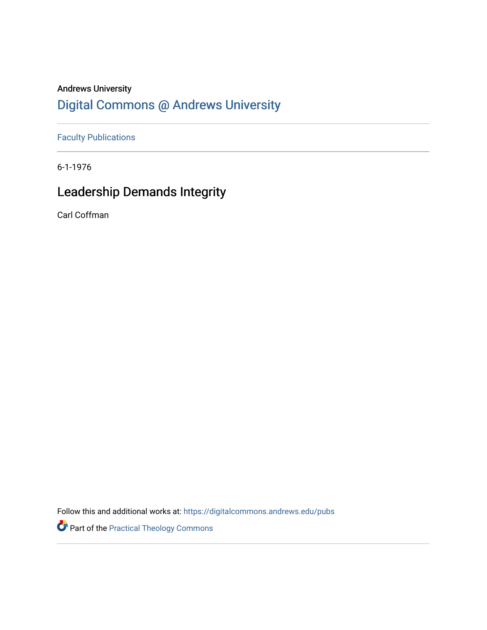## Andrews University [Digital Commons @ Andrews University](https://digitalcommons.andrews.edu/)

[Faculty Publications](https://digitalcommons.andrews.edu/pubs)

6-1-1976

## Leadership Demands Integrity

Carl Coffman

Follow this and additional works at: [https://digitalcommons.andrews.edu/pubs](https://digitalcommons.andrews.edu/pubs?utm_source=digitalcommons.andrews.edu%2Fpubs%2F3780&utm_medium=PDF&utm_campaign=PDFCoverPages) 

Part of the [Practical Theology Commons](http://network.bepress.com/hgg/discipline/1186?utm_source=digitalcommons.andrews.edu%2Fpubs%2F3780&utm_medium=PDF&utm_campaign=PDFCoverPages)